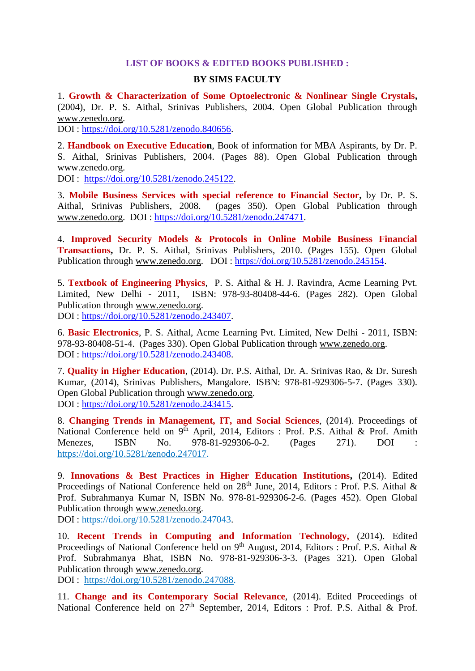## **LIST OF BOOKS & EDITED BOOKS PUBLISHED :**

## **BY SIMS FACULTY**

1. **Growth & Characterization of Some Optoelectronic & Nonlinear Single Crystals,**  (2004), Dr. P. S. Aithal, Srinivas Publishers, 2004. Open Global Publication through [www.zenedo.org.](http://www.zenedo.org/)

DOI : [https://doi.org/10.5281/zenodo.840656.](https://doi.org/10.5281/zenodo.840656)

2. **Handbook on Executive Education**, Book of information for MBA Aspirants, by Dr. P. S. Aithal, Srinivas Publishers, 2004. (Pages 88). Open Global Publication through [www.zenedo.org.](http://www.zenedo.org/)

DOI : [https://doi.org/10.5281/zenodo.245122.](https://doi.org/10.5281/zenodo.245122)

3. **Mobile Business Services with special reference to Financial Sector,** by Dr. P. S. Aithal. Srinivas Publishers. 2008. (pages 350). Open Global Publication through (pages 350). Open Global Publication through [www.zenedo.org.](http://www.zenedo.org/) DOI : [https://doi.org/10.5281/zenodo.247471.](https://doi.org/10.5281/zenodo.247471)

4. **Improved Security Models & Protocols in Online Mobile Business Financial Transactions,** Dr. P. S. Aithal, Srinivas Publishers, 2010. (Pages 155). Open Global Publication through [www.zenedo.org.](http://www.zenedo.org/) DOI : [https://doi.org/10.5281/zenodo.245154.](https://doi.org/10.5281/zenodo.245154)

5. **Textbook of Engineering Physics**, P. S. Aithal & H. J. Ravindra, Acme Learning Pvt. Limited, New Delhi - 2011, ISBN: 978-93-80408-44-6. (Pages 282). Open Global Publication through [www.zenedo.org.](http://www.zenedo.org/) DOI : [https://doi.org/10.5281/zenodo.243407.](https://doi.org/10.5281/zenodo.243407)

6. **Basic Electronics**, P. S. Aithal, Acme Learning Pvt. Limited, New Delhi - 2011, ISBN: 978-93-80408-51-4. (Pages 330). Open Global Publication through [www.zenedo.org.](http://www.zenedo.org/) DOI : [https://doi.org/10.5281/zenodo.243408.](https://doi.org/10.5281/zenodo.243408)

7. **Quality in Higher Education**, (2014). Dr. P.S. Aithal, Dr. A. Srinivas Rao, & Dr. Suresh Kumar, (2014), Srinivas Publishers, Mangalore. ISBN: 978-81-929306-5-7. (Pages 330). Open Global Publication through [www.zenedo.org.](http://www.zenedo.org/) DOI : [https://doi.org/10.5281/zenodo.243415.](https://doi.org/10.5281/zenodo.243415)

8. **Changing Trends in Management, IT, and Social Sciences**, (2014). Proceedings of National Conference held on  $9<sup>th</sup>$  April, 2014, Editors : Prof. P.S. Aithal & Prof. Amith Menezes, ISBN No. 978-81-929306-0-2. (Pages 271). DOI : [https://doi.org/10.5281/zenodo.247017.](https://doi.org/10.5281/zenodo.247017)

9. **Innovations & Best Practices in Higher Education Institutions,** (2014). Edited Proceedings of National Conference held on  $28<sup>th</sup>$  June, 2014, Editors : Prof. P.S. Aithal & Prof. Subrahmanya Kumar N, ISBN No. 978-81-929306-2-6. (Pages 452). Open Global Publication through [www.zenedo.org.](http://www.zenedo.org/)

DOI : [https://doi.org/10.5281/zenodo.247043.](https://doi.org/10.5281/zenodo.247043)

10. **Recent Trends in Computing and Information Technology,** (2014). Edited Proceedings of National Conference held on 9<sup>th</sup> August, 2014, Editors : Prof. P.S. Aithal & Prof. Subrahmanya Bhat, ISBN No. 978-81-929306-3-3. (Pages 321). Open Global Publication through [www.zenedo.org.](http://www.zenedo.org/)

DOI : [https://doi.org/10.5281/zenodo.247088.](https://doi.org/10.5281/zenodo.247088)

11. **Change and its Contemporary Social Relevance**, (2014). Edited Proceedings of National Conference held on  $27<sup>th</sup>$  September, 2014, Editors : Prof. P.S. Aithal & Prof.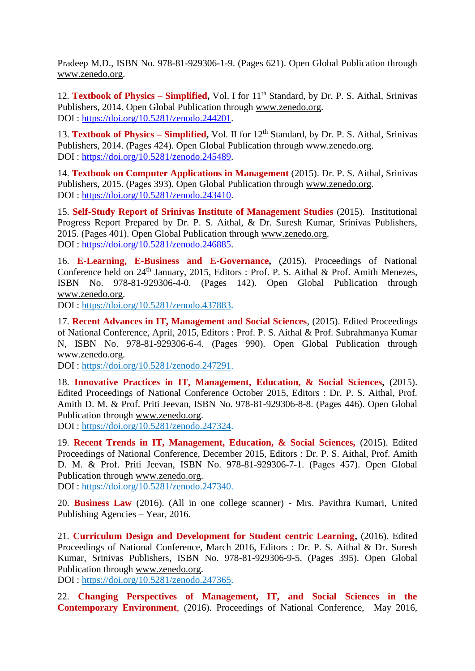Pradeep M.D., ISBN No. 978-81-929306-1-9. (Pages 621). Open Global Publication through [www.zenedo.org.](http://www.zenedo.org/)

12. **Textbook of Physics – Simplified,** Vol. I for 11<sup>th</sup> Standard, by Dr. P. S. Aithal, Srinivas Publishers, 2014. Open Global Publication through [www.zenedo.org.](http://www.zenedo.org/) DOI : [https://doi.org/10.5281/zenodo.244201.](https://doi.org/10.5281/zenodo.244201)

13. **Textbook of Physics – Simplified,** Vol. II for 12<sup>th</sup> Standard, by Dr. P. S. Aithal, Srinivas Publishers, 2014. (Pages 424). Open Global Publication through [www.zenedo.org.](http://www.zenedo.org/) DOI : [https://doi.org/10.5281/zenodo.245489.](https://doi.org/10.5281/zenodo.245489)

14. **Textbook on Computer Applications in Management** (2015). Dr. P. S. Aithal, Srinivas Publishers, 2015. (Pages 393). Open Global Publication through [www.zenedo.org.](http://www.zenedo.org/) DOI : [https://doi.org/10.5281/zenodo.243410.](https://doi.org/10.5281/zenodo.243410)

15. **Self-Study Report of Srinivas Institute of Management Studies** (2015). Institutional Progress Report Prepared by Dr. P. S. Aithal, & Dr. Suresh Kumar, Srinivas Publishers, 2015. (Pages 401). Open Global Publication through [www.zenedo.org.](http://www.zenedo.org/) DOI : [https://doi.org/10.5281/zenodo.246885.](https://doi.org/10.5281/zenodo.246885)

16. **E-Learning, E-Business and E-Governance,** (2015). Proceedings of National Conference held on 24<sup>th</sup> January, 2015, Editors : Prof. P. S. Aithal & Prof. Amith Menezes, ISBN No. 978-81-929306-4-0. (Pages 142). Open Global Publication through [www.zenedo.org.](http://www.zenedo.org/)

DOI : [https://doi.org/10.5281/zenodo.437883.](https://doi.org/10.5281/zenodo.437883)

17. **Recent Advances in IT, Management and Social Sciences**, (2015). Edited Proceedings of National Conference, April, 2015, Editors : Prof. P. S. Aithal & Prof. Subrahmanya Kumar N, ISBN No. 978-81-929306-6-4. (Pages 990). Open Global Publication through [www.zenedo.org.](http://www.zenedo.org/)

DOI : [https://doi.org/10.5281/zenodo.247291.](https://doi.org/10.5281/zenodo.247291)

18. **Innovative Practices in IT, Management, Education, & Social Sciences,** (2015). Edited Proceedings of National Conference October 2015, Editors : Dr. P. S. Aithal, Prof. Amith D. M. & Prof. Priti Jeevan, ISBN No. 978-81-929306-8-8. (Pages 446). Open Global Publication through [www.zenedo.org.](http://www.zenedo.org/)

DOI : [https://doi.org/10.5281/zenodo.247324.](https://doi.org/10.5281/zenodo.247324)

19. **Recent Trends in IT, Management, Education, & Social Sciences,** (2015). Edited Proceedings of National Conference, December 2015, Editors : Dr. P. S. Aithal, Prof. Amith D. M. & Prof. Priti Jeevan, ISBN No. 978-81-929306-7-1. (Pages 457). Open Global Publication through [www.zenedo.org.](http://www.zenedo.org/)

DOI : [https://doi.org/10.5281/zenodo.247340.](https://doi.org/10.5281/zenodo.247340)

20. **Business Law** (2016). (All in one college scanner) - Mrs. Pavithra Kumari, United Publishing Agencies – Year, 2016.

21. **Curriculum Design and Development for Student centric Learning,** (2016). Edited Proceedings of National Conference, March 2016, Editors : Dr. P. S. Aithal & Dr. Suresh Kumar, Srinivas Publishers, ISBN No. 978-81-929306-9-5. (Pages 395). Open Global Publication through [www.zenedo.org.](http://www.zenedo.org/)

DOI : [https://doi.org/10.5281/zenodo.247365.](https://doi.org/10.5281/zenodo.247365)

22. **Changing Perspectives of Management, IT, and Social Sciences in the Contemporary Environment**, (2016). Proceedings of National Conference, May 2016,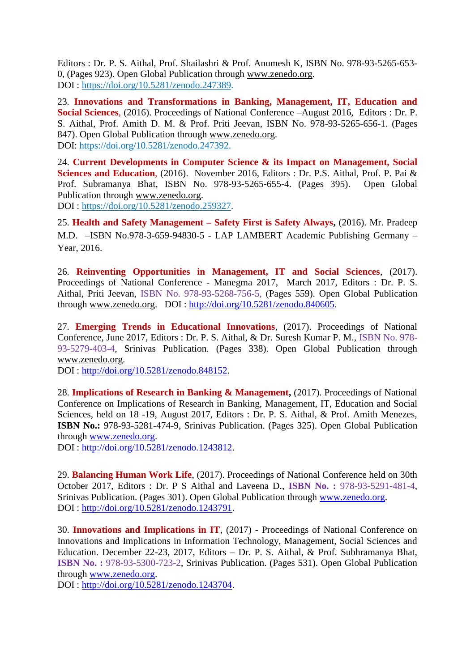Editors : Dr. P. S. Aithal, Prof. Shailashri & Prof. Anumesh K, ISBN No. 978-93-5265-653- 0, (Pages 923). Open Global Publication through [www.zenedo.org.](http://www.zenedo.org/) DOI : [https://doi.org/10.5281/zenodo.247389.](https://doi.org/10.5281/zenodo.247389)

23. **Innovations and Transformations in Banking, Management, IT, Education and Social Sciences**, (2016). Proceedings of National Conference –August 2016, Editors : Dr. P. S. Aithal, Prof. Amith D. M. & Prof. Priti Jeevan, ISBN No. 978-93-5265-656-1. (Pages 847). Open Global Publication through [www.zenedo.org.](http://www.zenedo.org/) DOI: [https://doi.org/10.5281/zenodo.247392.](https://doi.org/10.5281/zenodo.247392)

24. **Current Developments in Computer Science & its Impact on Management, Social**  Sciences and Education, (2016). November 2016, Editors : Dr. P.S. Aithal, Prof. P. Pai & Prof. Subramanya Bhat, ISBN No. 978-93-5265-655-4. (Pages 395). Open Global Publication through [www.zenedo.org.](http://www.zenedo.org/)

DOI : [https://doi.org/10.5281/zenodo.259327.](https://doi.org/10.5281/zenodo.259327)

25. **Health and Safety Management – Safety First is Safety Always,** (2016). Mr. Pradeep M.D. –ISBN No.978-3-659-94830-5 - LAP LAMBERT Academic Publishing Germany – Year, 2016.

26. **Reinventing Opportunities in Management, IT and Social Sciences**, (2017). Proceedings of National Conference - Manegma 2017, March 2017, Editors : Dr. P. S. Aithal, Priti Jeevan, ISBN No. 978-93-5268-756-5, (Pages 559). Open Global Publication through [www.zenedo.org.](http://www.zenedo.org/) DOI : [http://doi.org/10.5281/zenodo.840605.](http://doi.org/10.5281/zenodo.840605)

27. **Emerging Trends in Educational Innovations**, (2017). Proceedings of National Conference, June 2017, Editors : Dr. P. S. Aithal, & Dr. Suresh Kumar P. M., ISBN No. 978- 93-5279-403-4, Srinivas Publication. (Pages 338). Open Global Publication through [www.zenedo.org.](http://www.zenedo.org/)

DOI : [http://doi.org/10.5281/zenodo.848152.](http://doi.org/10.5281/zenodo.848152)

28. **Implications of Research in Banking & Management,** (2017). Proceedings of National Conference on Implications of Research in Banking, Management, IT, Education and Social Sciences, held on 18 -19, August 2017, Editors : Dr. P. S. Aithal, & Prof. Amith Menezes, **ISBN No.:** 978-93-5281-474-9, Srinivas Publication. (Pages 325). Open Global Publication through [www.zenedo.org.](http://www.zenedo.org/) DOI : [http://doi.org/10.5281/zenodo.1243812.](http://doi.org/10.5281/zenodo.1243812)

29. **Balancing Human Work Life**, (2017). Proceedings of National Conference held on 30th October 2017, Editors : Dr. P S Aithal and Laveena D., **ISBN No. :** 978-93-5291-481-4, Srinivas Publication. (Pages 301). Open Global Publication through [www.zenedo.org.](http://www.zenedo.org/) DOI : [http://doi.org/10.5281/zenodo.1243791.](http://doi.org/10.5281/zenodo.1243791)

30. **Innovations and Implications in IT**, (2017) - Proceedings of National Conference on Innovations and Implications in Information Technology, Management, Social Sciences and Education. December 22-23, 2017, Editors – Dr. P. S. Aithal, & Prof. Subhramanya Bhat, **ISBN No. :** 978-93-5300-723-2, Srinivas Publication. (Pages 531). Open Global Publication through [www.zenedo.org.](http://www.zenedo.org/)

DOI : [http://doi.org/10.5281/zenodo.1243704.](http://doi.org/10.5281/zenodo.1243704)